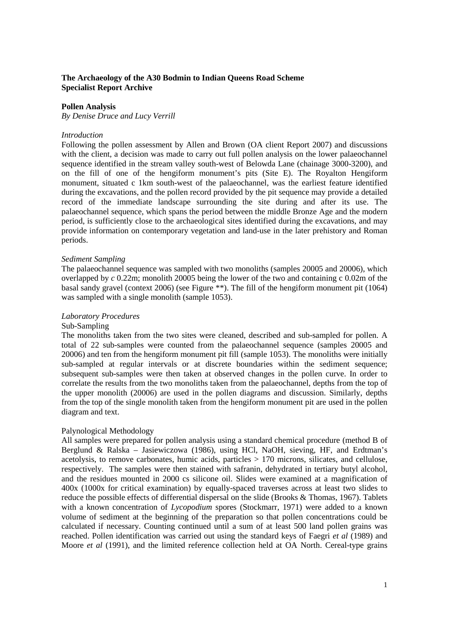# **The Archaeology of the A30 Bodmin to Indian Queens Road Scheme Specialist Report Archive**

#### **Pollen Analysis**

*By Denise Druce and Lucy Verrill*

#### *Introduction*

Following the pollen assessment by Allen and Brown (OA client Report 2007) and discussions with the client, a decision was made to carry out full pollen analysis on the lower palaeochannel sequence identified in the stream valley south-west of Belowda Lane (chainage 3000-3200), and on the fill of one of the hengiform monument's pits (Site E). The Royalton Hengiform monument, situated c 1km south-west of the palaeochannel, was the earliest feature identified during the excavations, and the pollen record provided by the pit sequence may provide a detailed record of the immediate landscape surrounding the site during and after its use. The palaeochannel sequence, which spans the period between the middle Bronze Age and the modern period, is sufficiently close to the archaeological sites identified during the excavations, and may provide information on contemporary vegetation and land-use in the later prehistory and Roman periods.

#### *Sediment Sampling*

The palaeochannel sequence was sampled with two monoliths (samples 20005 and 20006), which overlapped by *c* 0.22m; monolith 20005 being the lower of the two and containing c 0.02m of the basal sandy gravel (context 2006) (see Figure \*\*). The fill of the hengiform monument pit (1064) was sampled with a single monolith (sample 1053).

#### *Laboratory Procedures*

## Sub-Sampling

The monoliths taken from the two sites were cleaned, described and sub-sampled for pollen. A total of 22 sub-samples were counted from the palaeochannel sequence (samples 20005 and 20006) and ten from the hengiform monument pit fill (sample 1053). The monoliths were initially sub-sampled at regular intervals or at discrete boundaries within the sediment sequence; subsequent sub-samples were then taken at observed changes in the pollen curve. In order to correlate the results from the two monoliths taken from the palaeochannel, depths from the top of the upper monolith (20006) are used in the pollen diagrams and discussion. Similarly, depths from the top of the single monolith taken from the hengiform monument pit are used in the pollen diagram and text.

#### Palynological Methodology

All samples were prepared for pollen analysis using a standard chemical procedure (method B of Berglund & Ralska – Jasiewiczowa (1986), using HCl, NaOH, sieving, HF, and Erdtman's acetolysis, to remove carbonates, humic acids, particles  $> 170$  microns, silicates, and cellulose, respectively. The samples were then stained with safranin, dehydrated in tertiary butyl alcohol, and the residues mounted in 2000 cs silicone oil. Slides were examined at a magnification of 400x (1000x for critical examination) by equally-spaced traverses across at least two slides to reduce the possible effects of differential dispersal on the slide (Brooks & Thomas, 1967). Tablets with a known concentration of *Lycopodium* spores (Stockmarr, 1971) were added to a known volume of sediment at the beginning of the preparation so that pollen concentrations could be calculated if necessary. Counting continued until a sum of at least 500 land pollen grains was reached. Pollen identification was carried out using the standard keys of Faegri *et al* (1989) and Moore *et al* (1991), and the limited reference collection held at OA North. Cereal-type grains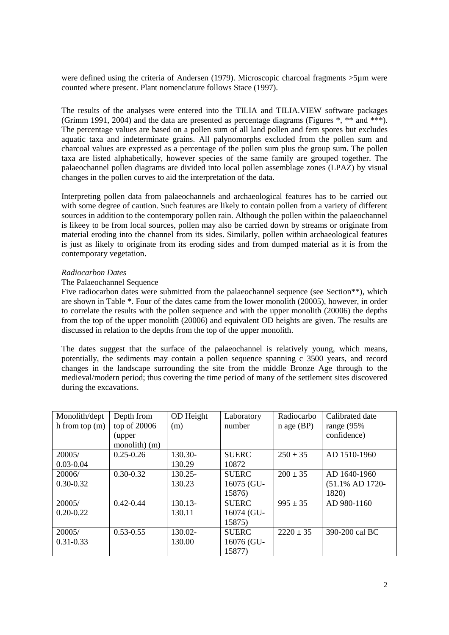were defined using the criteria of Andersen (1979). Microscopic charcoal fragments  $>5\mu$ m were counted where present. Plant nomenclature follows Stace (1997).

The results of the analyses were entered into the TILIA and TILIA.VIEW software packages (Grimm 1991, 2004) and the data are presented as percentage diagrams (Figures  $*$ ,  $**$  and  $***$ ). The percentage values are based on a pollen sum of all land pollen and fern spores but excludes aquatic taxa and indeterminate grains. All palynomorphs excluded from the pollen sum and charcoal values are expressed as a percentage of the pollen sum plus the group sum. The pollen taxa are listed alphabetically, however species of the same family are grouped together. The palaeochannel pollen diagrams are divided into local pollen assemblage zones (LPAZ) by visual changes in the pollen curves to aid the interpretation of the data.

Interpreting pollen data from palaeochannels and archaeological features has to be carried out with some degree of caution. Such features are likely to contain pollen from a variety of different sources in addition to the contemporary pollen rain. Although the pollen within the palaeochannel is likeey to be from local sources, pollen may also be carried down by streams or originate from material eroding into the channel from its sides. Similarly, pollen within archaeological features is just as likely to originate from its eroding sides and from dumped material as it is from the contemporary vegetation.

#### *Radiocarbon Dates*

## The Palaeochannel Sequence

Five radiocarbon dates were submitted from the palaeochannel sequence (see Section\*\*), which are shown in Table \*. Four of the dates came from the lower monolith (20005), however, in order to correlate the results with the pollen sequence and with the upper monolith (20006) the depths from the top of the upper monolith (20006) and equivalent OD heights are given. The results are discussed in relation to the depths from the top of the upper monolith.

The dates suggest that the surface of the palaeochannel is relatively young, which means, potentially, the sediments may contain a pollen sequence spanning c 3500 years, and record changes in the landscape surrounding the site from the middle Bronze Age through to the medieval/modern period; thus covering the time period of many of the settlement sites discovered during the excavations.

| Monolith/dept    | Depth from    | OD Height  | Laboratory   | Radiocarbo    | Calibrated date |
|------------------|---------------|------------|--------------|---------------|-----------------|
| h from top $(m)$ | top of 20006  | (m)        | number       | $n$ age (BP)  | range $(95%$    |
|                  | (upper        |            |              |               | confidence)     |
|                  | monolith) (m) |            |              |               |                 |
| 20005/           | $0.25 - 0.26$ | 130.30-    | <b>SUERC</b> | $250 \pm 35$  | AD 1510-1960    |
| $0.03 - 0.04$    |               | 130.29     | 10872        |               |                 |
| 20006/           | $0.30 - 0.32$ | $130.25 -$ | <b>SUERC</b> | $200 \pm 35$  | AD 1640-1960    |
| $0.30 - 0.32$    |               | 130.23     | 16075 (GU-   |               | (51.1% AD 1720- |
|                  |               |            | 15876)       |               | 1820)           |
| 20005/           | $0.42 - 0.44$ | 130.13-    | <b>SUERC</b> | $995 \pm 35$  | AD 980-1160     |
| $0.20 - 0.22$    |               | 130.11     | 16074 (GU-   |               |                 |
|                  |               |            | 15875)       |               |                 |
| 20005/           | $0.53 - 0.55$ | 130.02-    | <b>SUERC</b> | $2220 \pm 35$ | 390-200 cal BC  |
| $0.31 - 0.33$    |               | 130.00     | 16076 (GU-   |               |                 |
|                  |               |            | 15877)       |               |                 |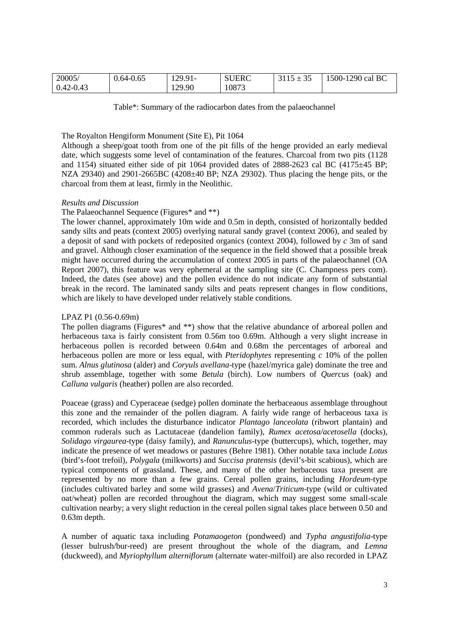| 20005/        | $0.64 - 0.65$ | 129.91- | <b>SUERC</b> | $\sim$ $\sim$<br>—<br>ی ر | $-1290$ cal BC<br>$1500 - 1$ |
|---------------|---------------|---------|--------------|---------------------------|------------------------------|
| $0.42 - 0.43$ |               | 129.90  | 10873        |                           |                              |

Table\*: Summary of the radiocarbon dates from the palaeochannel

# The Royalton Hengiform Monument (Site E), Pit 1064

Although a sheep/goat tooth from one of the pit fills of the henge provided an early medieval date, which suggests some level of contamination of the features. Charcoal from two pits (1128 and 1154) situated either side of pit 1064 provided dates of 2888-2623 cal BC  $(4175\pm45)$  BP; NZA 29340) and 2901-2665BC (4208±40 BP; NZA 29302). Thus placing the henge pits, or the charcoal from them at least, firmly in the Neolithic.

## *Results and Discussion*

## The Palaeochannel Sequence (Figures\* and \*\*)

The lower channel, approximately 10m wide and 0.5m in depth, consisted of horizontally bedded sandy silts and peats (context 2005) overlying natural sandy gravel (context 2006), and sealed by a deposit of sand with pockets of redeposited organics (context 2004), followed by *c* 3m of sand and gravel. Although closer examination of the sequence in the field showed that a possible break might have occurred during the accumulation of context 2005 in parts of the palaeochannel (OA Report 2007), this feature was very ephemeral at the sampling site (C. Champness pers com). Indeed, the dates (see above) and the pollen evidence do not indicate any form of substantial break in the record. The laminated sandy silts and peats represent changes in flow conditions, which are likely to have developed under relatively stable conditions.

## LPAZ P1 (0.56-0.69m)

The pollen diagrams (Figures\* and \*\*) show that the relative abundance of arboreal pollen and herbaceous taxa is fairly consistent from 0.56m too 0.69m. Although a very slight increase in herbaceous pollen is recorded between 0.64m and 0.68m the percentages of arboreal and herbaceous pollen are more or less equal, with *Pteridophytes* representing *c* 10% of the pollen sum. *Alnus glutinosa* (alder) and *Coryuls avellana*-type (hazel/myrica gale) dominate the tree and shrub assemblage, together with some *Betula* (birch). Low numbers of *Quercus* (oak) and *Calluna vulgaris* (heather) pollen are also recorded.

Poaceae (grass) and Cyperaceae (sedge) pollen dominate the herbaceaous assemblage throughout this zone and the remainder of the pollen diagram. A fairly wide range of herbaceous taxa is recorded, which includes the disturbance indicator *Plantago lanceolata* (ribwort plantain) and common ruderals such as Lactutaceae (dandelion family), *Rumex acetosa/acetosella* (docks), *Solidago virgaurea*-type (daisy family), and *Ranunculus*-type (buttercups), which, together, may indicate the presence of wet meadows or pastures (Behre 1981). Other notable taxa include *Lotus* (bird's-foot trefoil), *Polygala* (milkworts) and *Succisa pratensis* (devil's-bit scabious), which are typical components of grassland. These, and many of the other herbaceous taxa present are represented by no more than a few grains. Cereal pollen grains, including *Hordeum*-type (includes cultivated barley and some wild grasses) and *Avena*/*Triticum*-type (wild or cultivated oat/wheat) pollen are recorded throughout the diagram, which may suggest some small-scale cultivation nearby; a very slight reduction in the cereal pollen signal takes place between 0.50 and 0.63m depth.

A number of aquatic taxa including *Potamaogeton* (pondweed) and *Typha angustifolia*-type (lesser bulrush/bur-reed) are present throughout the whole of the diagram, and *Lemna* (duckweed), and *Myriophyllum alterniflorum* (alternate water-milfoil) are also recorded in LPAZ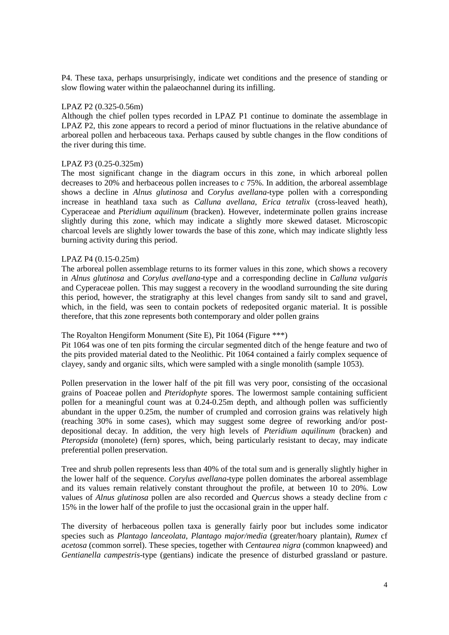P4. These taxa, perhaps unsurprisingly, indicate wet conditions and the presence of standing or slow flowing water within the palaeochannel during its infilling.

## LPAZ P2 (0.325-0.56m)

Although the chief pollen types recorded in LPAZ P1 continue to dominate the assemblage in LPAZ P2, this zone appears to record a period of minor fluctuations in the relative abundance of arboreal pollen and herbaceous taxa. Perhaps caused by subtle changes in the flow conditions of the river during this time.

## LPAZ P3 (0.25-0.325m)

The most significant change in the diagram occurs in this zone, in which arboreal pollen decreases to 20% and herbaceous pollen increases to *c* 75%. In addition, the arboreal assemblage shows a decline in *Alnus glutinosa* and *Corylus avellana*-type pollen with a corresponding increase in heathland taxa such as *Calluna avellana*, *Erica tetralix* (cross-leaved heath), Cyperaceae and *Pteridium aquilinum* (bracken). However, indeterminate pollen grains increase slightly during this zone, which may indicate a slightly more skewed dataset. Microscopic charcoal levels are slightly lower towards the base of this zone, which may indicate slightly less burning activity during this period.

## LPAZ P4 (0.15-0.25m)

The arboreal pollen assemblage returns to its former values in this zone, which shows a recovery in *Alnus glutinosa* and *Corylus avellana*-type and a corresponding decline in *Calluna vulgaris* and Cyperaceae pollen. This may suggest a recovery in the woodland surrounding the site during this period, however, the stratigraphy at this level changes from sandy silt to sand and gravel, which, in the field, was seen to contain pockets of redeposited organic material. It is possible therefore, that this zone represents both contemporary and older pollen grains

# The Royalton Hengiform Monument (Site E), Pit 1064 (Figure \*\*\*)

Pit 1064 was one of ten pits forming the circular segmented ditch of the henge feature and two of the pits provided material dated to the Neolithic. Pit 1064 contained a fairly complex sequence of clayey, sandy and organic silts, which were sampled with a single monolith (sample 1053).

Pollen preservation in the lower half of the pit fill was very poor, consisting of the occasional grains of Poaceae pollen and *Pteridophyte* spores. The lowermost sample containing sufficient pollen for a meaningful count was at 0.24-0.25m depth, and although pollen was sufficiently abundant in the upper 0.25m, the number of crumpled and corrosion grains was relatively high (reaching 30% in some cases), which may suggest some degree of reworking and/or postdepositional decay. In addition, the very high levels of *Pteridium aquilinum* (bracken) and *Pteropsida* (monolete) (fern) spores, which, being particularly resistant to decay, may indicate preferential pollen preservation.

Tree and shrub pollen represents less than 40% of the total sum and is generally slightly higher in the lower half of the sequence. *Corylus avellana*-type pollen dominates the arboreal assemblage and its values remain relatively constant throughout the profile, at between 10 to 20%. Low values of *Alnus glutinosa* pollen are also recorded and *Quercus* shows a steady decline from *c* 15% in the lower half of the profile to just the occasional grain in the upper half.

The diversity of herbaceous pollen taxa is generally fairly poor but includes some indicator species such as *Plantago lanceolata*, *Plantago major/media* (greater/hoary plantain), *Rumex* cf *acetosa* (common sorrel). These species, together with *Centaurea nigra* (common knapweed) and *Gentianella campestris*-type (gentians) indicate the presence of disturbed grassland or pasture.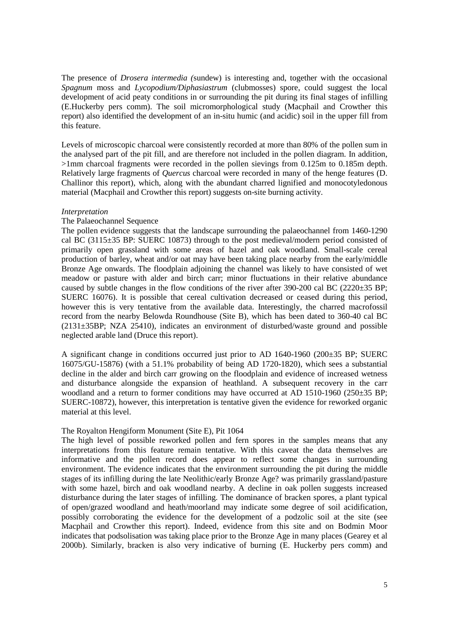The presence of *Drosera intermedia (*sundew) is interesting and, together with the occasional *Spagnum* moss and *Lycopodium/Diphasiastrum* (clubmosses) spore, could suggest the local development of acid peaty conditions in or surrounding the pit during its final stages of infilling (E.Huckerby pers comm). The soil micromorphological study (Macphail and Crowther this report) also identified the development of an in-situ humic (and acidic) soil in the upper fill from this feature.

Levels of microscopic charcoal were consistently recorded at more than 80% of the pollen sum in the analysed part of the pit fill, and are therefore not included in the pollen diagram. In addition, >1mm charcoal fragments were recorded in the pollen sievings from 0.125m to 0.185m depth. Relatively large fragments of *Quercus* charcoal were recorded in many of the henge features (D. Challinor this report), which, along with the abundant charred lignified and monocotyledonous material (Macphail and Crowther this report) suggests on-site burning activity.

## *Interpretation*

## The Palaeochannel Sequence

The pollen evidence suggests that the landscape surrounding the palaeochannel from 1460-1290 cal BC (3115±35 BP: SUERC 10873) through to the post medieval/modern period consisted of primarily open grassland with some areas of hazel and oak woodland. Small-scale cereal production of barley, wheat and/or oat may have been taking place nearby from the early/middle Bronze Age onwards. The floodplain adjoining the channel was likely to have consisted of wet meadow or pasture with alder and birch carr; minor fluctuations in their relative abundance caused by subtle changes in the flow conditions of the river after 390-200 cal BC (2220±35 BP; SUERC 16076). It is possible that cereal cultivation decreased or ceased during this period, however this is very tentative from the available data. Interestingly, the charred macrofossil record from the nearby Belowda Roundhouse (Site B), which has been dated to 360-40 cal BC (2131±35BP; NZA 25410), indicates an environment of disturbed/waste ground and possible neglected arable land (Druce this report).

A significant change in conditions occurred just prior to AD 1640-1960 (200±35 BP; SUERC 16075/GU-15876) (with a 51.1% probability of being AD 1720-1820), which sees a substantial decline in the alder and birch carr growing on the floodplain and evidence of increased wetness and disturbance alongside the expansion of heathland. A subsequent recovery in the carr woodland and a return to former conditions may have occurred at  $AD$  1510-1960 (250 $\pm$ 35 BP; SUERC-10872), however, this interpretation is tentative given the evidence for reworked organic material at this level.

# The Royalton Hengiform Monument (Site E), Pit 1064

The high level of possible reworked pollen and fern spores in the samples means that any interpretations from this feature remain tentative. With this caveat the data themselves are informative and the pollen record does appear to reflect some changes in surrounding environment. The evidence indicates that the environment surrounding the pit during the middle stages of its infilling during the late Neolithic/early Bronze Age? was primarily grassland/pasture with some hazel, birch and oak woodland nearby. A decline in oak pollen suggests increased disturbance during the later stages of infilling. The dominance of bracken spores, a plant typical of open/grazed woodland and heath/moorland may indicate some degree of soil acidification, possibly corroborating the evidence for the development of a podzolic soil at the site (see Macphail and Crowther this report). Indeed, evidence from this site and on Bodmin Moor indicates that podsolisation was taking place prior to the Bronze Age in many places (Gearey et al 2000b). Similarly, bracken is also very indicative of burning (E. Huckerby pers comm) and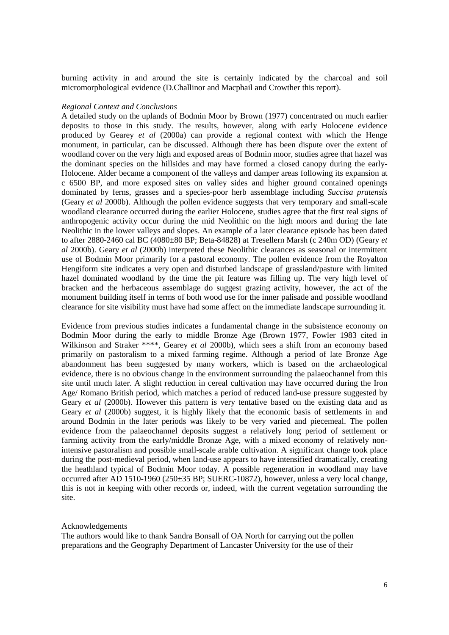burning activity in and around the site is certainly indicated by the charcoal and soil micromorphological evidence (D.Challinor and Macphail and Crowther this report).

#### *Regional Context and Conclusions*

A detailed study on the uplands of Bodmin Moor by Brown (1977) concentrated on much earlier deposits to those in this study. The results, however, along with early Holocene evidence produced by Gearey *et al* (2000a) can provide a regional context with which the Henge monument, in particular, can be discussed. Although there has been dispute over the extent of woodland cover on the very high and exposed areas of Bodmin moor, studies agree that hazel was the dominant species on the hillsides and may have formed a closed canopy during the early-Holocene. Alder became a component of the valleys and damper areas following its expansion at c 6500 BP, and more exposed sites on valley sides and higher ground contained openings dominated by ferns, grasses and a species-poor herb assemblage including *Succisa pratensis* (Geary *et al* 2000b). Although the pollen evidence suggests that very temporary and small-scale woodland clearance occurred during the earlier Holocene, studies agree that the first real signs of anthropogenic activity occur during the mid Neolithic on the high moors and during the late Neolithic in the lower valleys and slopes. An example of a later clearance episode has been dated to after 2880-2460 cal BC (4080±80 BP; Beta-84828) at Tresellern Marsh (c 240m OD) (Geary *et al* 2000b). Geary *et al* (2000b) interpreted these Neolithic clearances as seasonal or intermittent use of Bodmin Moor primarily for a pastoral economy. The pollen evidence from the Royalton Hengiform site indicates a very open and disturbed landscape of grassland/pasture with limited hazel dominated woodland by the time the pit feature was filling up. The very high level of bracken and the herbaceous assemblage do suggest grazing activity, however, the act of the monument building itself in terms of both wood use for the inner palisade and possible woodland clearance for site visibility must have had some affect on the immediate landscape surrounding it.

Evidence from previous studies indicates a fundamental change in the subsistence economy on Bodmin Moor during the early to middle Bronze Age (Brown 1977, Fowler 1983 cited in Wilkinson and Straker \*\*\*\*, Gearey *et al* 2000b), which sees a shift from an economy based primarily on pastoralism to a mixed farming regime. Although a period of late Bronze Age abandonment has been suggested by many workers, which is based on the archaeological evidence, there is no obvious change in the environment surrounding the palaeochannel from this site until much later. A slight reduction in cereal cultivation may have occurred during the Iron Age/ Romano British period, which matches a period of reduced land-use pressure suggested by Geary *et al* (2000b). However this pattern is very tentative based on the existing data and as Geary *et al* (2000b) suggest, it is highly likely that the economic basis of settlements in and around Bodmin in the later periods was likely to be very varied and piecemeal. The pollen evidence from the palaeochannel deposits suggest a relatively long period of settlement or farming activity from the early/middle Bronze Age, with a mixed economy of relatively nonintensive pastoralism and possible small-scale arable cultivation. A significant change took place during the post-medieval period, when land-use appears to have intensified dramatically, creating the heathland typical of Bodmin Moor today. A possible regeneration in woodland may have occurred after AD 1510-1960 (250±35 BP; SUERC-10872), however, unless a very local change, this is not in keeping with other records or, indeed, with the current vegetation surrounding the site.

#### Acknowledgements

The authors would like to thank Sandra Bonsall of OA North for carrying out the pollen preparations and the Geography Department of Lancaster University for the use of their